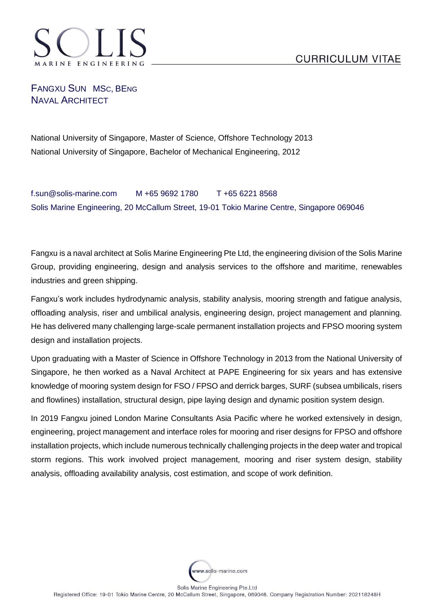

## FANGXU SUN MSC, BENG NAVAL ARCHITECT

National University of Singapore, Master of Science, Offshore Technology 2013 National University of Singapore, Bachelor of Mechanical Engineering, 2012

f.sun@solis-marine.com M +65 9692 1780 T +65 6221 8568 Solis Marine Engineering, 20 McCallum Street, 19-01 Tokio Marine Centre, Singapore 069046

Fangxu is a naval architect at Solis Marine Engineering Pte Ltd, the engineering division of the Solis Marine Group, providing engineering, design and analysis services to the offshore and maritime, renewables industries and green shipping.

Fangxu's work includes hydrodynamic analysis, stability analysis, mooring strength and fatigue analysis, offloading analysis, riser and umbilical analysis, engineering design, project management and planning. He has delivered many challenging large-scale permanent installation projects and FPSO mooring system design and installation projects.

Upon graduating with a Master of Science in Offshore Technology in 2013 from the National University of Singapore, he then worked as a Naval Architect at PAPE Engineering for six years and has extensive knowledge of mooring system design for FSO / FPSO and derrick barges, SURF (subsea umbilicals, risers and flowlines) installation, structural design, pipe laying design and dynamic position system design.

In 2019 Fangxu joined London Marine Consultants Asia Pacific where he worked extensively in design, engineering, project management and interface roles for mooring and riser designs for FPSO and offshore installation projects, which include numerous technically challenging projects in the deep water and tropical storm regions. This work involved project management, mooring and riser system design, stability analysis, offloading availability analysis, cost estimation, and scope of work definition.

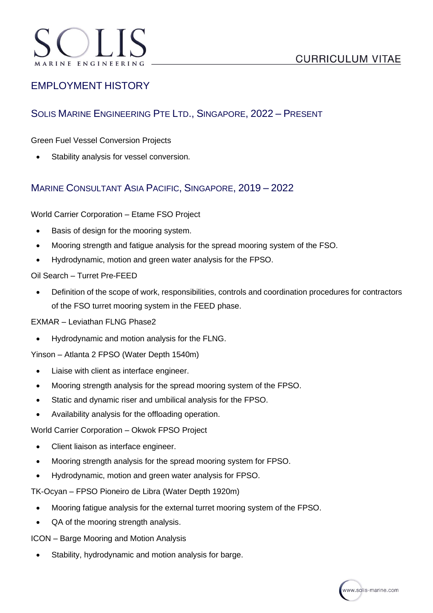## EMPLOYMENT HISTORY

## SOLIS MARINE ENGINEERING PTE LTD., SINGAPORE, 2022 – PRESENT

Green Fuel Vessel Conversion Projects

• Stability analysis for vessel conversion.

### MARINE CONSULTANT ASIA PACIFIC, SINGAPORE, 2019 – 2022

World Carrier Corporation – Etame FSO Project

- Basis of design for the mooring system.
- Mooring strength and fatigue analysis for the spread mooring system of the FSO.
- Hydrodynamic, motion and green water analysis for the FPSO.

#### Oil Search – Turret Pre-FEED

• Definition of the scope of work, responsibilities, controls and coordination procedures for contractors of the FSO turret mooring system in the FEED phase.

EXMAR – Leviathan FLNG Phase2

• Hydrodynamic and motion analysis for the FLNG.

Yinson – Atlanta 2 FPSO (Water Depth 1540m)

- Liaise with client as interface engineer.
- Mooring strength analysis for the spread mooring system of the FPSO.
- Static and dynamic riser and umbilical analysis for the FPSO.
- Availability analysis for the offloading operation.

World Carrier Corporation – Okwok FPSO Project

- Client liaison as interface engineer.
- Mooring strength analysis for the spread mooring system for FPSO.
- Hydrodynamic, motion and green water analysis for FPSO.

TK-Ocyan – FPSO Pioneiro de Libra (Water Depth 1920m)

- Mooring fatigue analysis for the external turret mooring system of the FPSO.
- QA of the mooring strength analysis.

ICON – Barge Mooring and Motion Analysis

Stability, hydrodynamic and motion analysis for barge.

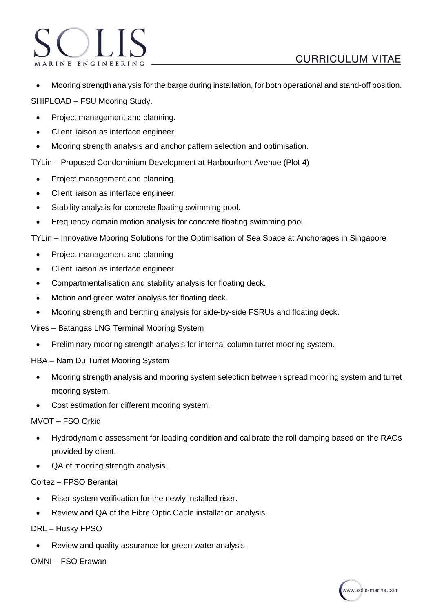• Mooring strength analysis for the barge during installation, for both operational and stand-off position.

SHIPLOAD – FSU Mooring Study.

ARINE ENGINEERIN

- Project management and planning.
- Client liaison as interface engineer.
- Mooring strength analysis and anchor pattern selection and optimisation.

TYLin – Proposed Condominium Development at Harbourfront Avenue (Plot 4)

- Project management and planning.
- Client liaison as interface engineer.
- Stability analysis for concrete floating swimming pool.
- Frequency domain motion analysis for concrete floating swimming pool.

TYLin – Innovative Mooring Solutions for the Optimisation of Sea Space at Anchorages in Singapore

- Project management and planning
- Client liaison as interface engineer.
- Compartmentalisation and stability analysis for floating deck.
- Motion and green water analysis for floating deck.
- Mooring strength and berthing analysis for side-by-side FSRUs and floating deck.
- Vires Batangas LNG Terminal Mooring System
	- Preliminary mooring strength analysis for internal column turret mooring system.
- HBA Nam Du Turret Mooring System
	- Mooring strength analysis and mooring system selection between spread mooring system and turret mooring system.
	- Cost estimation for different mooring system.

#### MVOT – FSO Orkid

- Hydrodynamic assessment for loading condition and calibrate the roll damping based on the RAOs provided by client.
- QA of mooring strength analysis.

#### Cortez – FPSO Berantai

- Riser system verification for the newly installed riser.
- Review and QA of the Fibre Optic Cable installation analysis.

#### DRL – Husky FPSO

Review and quality assurance for green water analysis.

#### OMNI – FSO Erawan

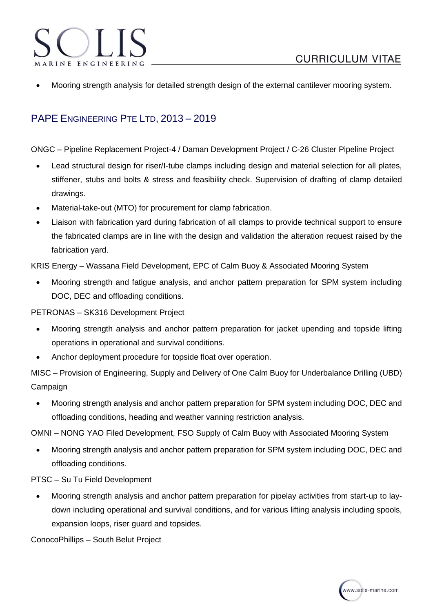- ARINE ENGINEERIN
- Mooring strength analysis for detailed strength design of the external cantilever mooring system.

# PAPE ENGINEERING PTE LTD, 2013 – 2019

ONGC – Pipeline Replacement Project-4 / Daman Development Project / C-26 Cluster Pipeline Project

- Lead structural design for riser/I-tube clamps including design and material selection for all plates, stiffener, stubs and bolts & stress and feasibility check. Supervision of drafting of clamp detailed drawings.
- Material-take-out (MTO) for procurement for clamp fabrication.
- Liaison with fabrication yard during fabrication of all clamps to provide technical support to ensure the fabricated clamps are in line with the design and validation the alteration request raised by the fabrication yard.

KRIS Energy – Wassana Field Development, EPC of Calm Buoy & Associated Mooring System

• Mooring strength and fatigue analysis, and anchor pattern preparation for SPM system including DOC, DEC and offloading conditions.

PETRONAS – SK316 Development Project

- Mooring strength analysis and anchor pattern preparation for jacket upending and topside lifting operations in operational and survival conditions.
- Anchor deployment procedure for topside float over operation.

MISC – Provision of Engineering, Supply and Delivery of One Calm Buoy for Underbalance Drilling (UBD) Campaign

• Mooring strength analysis and anchor pattern preparation for SPM system including DOC, DEC and offloading conditions, heading and weather vanning restriction analysis.

OMNI – NONG YAO Filed Development, FSO Supply of Calm Buoy with Associated Mooring System

• Mooring strength analysis and anchor pattern preparation for SPM system including DOC, DEC and offloading conditions.

PTSC – Su Tu Field Development

• Mooring strength analysis and anchor pattern preparation for pipelay activities from start-up to laydown including operational and survival conditions, and for various lifting analysis including spools, expansion loops, riser guard and topsides.

ConocoPhillips – South Belut Project